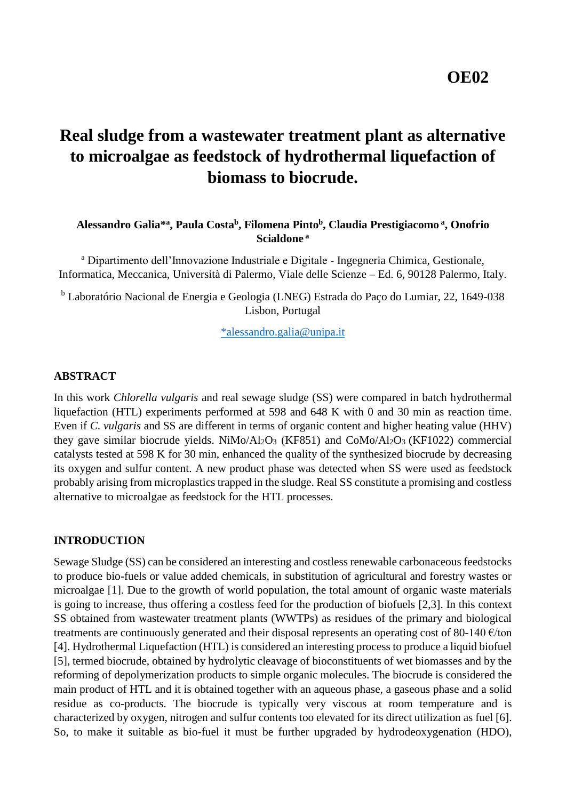# **Real sludge from a wastewater treatment plant as alternative to microalgae as feedstock of hydrothermal liquefaction of biomass to biocrude.**

## **Alessandro Galia\* a , Paula Costa<sup>b</sup> , Filomena Pinto<sup>b</sup> , Claudia Prestigiacomo <sup>a</sup> , Onofrio Scialdone <sup>a</sup>**

<sup>a</sup> Dipartimento dell'Innovazione Industriale e Digitale - Ingegneria Chimica, Gestionale, Informatica, Meccanica, Università di Palermo, Viale delle Scienze – Ed. 6, 90128 Palermo, Italy.

<sup>b</sup> Laboratório Nacional de Energia e Geologia (LNEG) Estrada do Paço do Lumiar, 22, 1649-038 Lisbon, Portugal

[\\*alessandro.galia@unipa.it](mailto:*alessandro.galia@unipa.it)

## **ABSTRACT**

In this work *Chlorella vulgaris* and real sewage sludge (SS) were compared in batch hydrothermal liquefaction (HTL) experiments performed at 598 and 648 K with 0 and 30 min as reaction time. Even if *C. vulgaris* and SS are different in terms of organic content and higher heating value (HHV) they gave similar biocrude yields. NiMo/Al<sub>2</sub>O<sub>3</sub> (KF851) and CoMo/Al<sub>2</sub>O<sub>3</sub> (KF1022) commercial catalysts tested at 598 K for 30 min, enhanced the quality of the synthesized biocrude by decreasing its oxygen and sulfur content. A new product phase was detected when SS were used as feedstock probably arising from microplastics trapped in the sludge. Real SS constitute a promising and costless alternative to microalgae as feedstock for the HTL processes.

## **INTRODUCTION**

Sewage Sludge (SS) can be considered an interesting and costless renewable carbonaceous feedstocks to produce bio-fuels or value added chemicals, in substitution of agricultural and forestry wastes or microalgae [1]. Due to the growth of world population, the total amount of organic waste materials is going to increase, thus offering a costless feed for the production of biofuels [2,3]. In this context SS obtained from wastewater treatment plants (WWTPs) as residues of the primary and biological treatments are continuously generated and their disposal represents an operating cost of 80-140 €/ton [4]. Hydrothermal Liquefaction (HTL) is considered an interesting process to produce a liquid biofuel [5], termed biocrude, obtained by hydrolytic cleavage of bioconstituents of wet biomasses and by the reforming of depolymerization products to simple organic molecules. The biocrude is considered the main product of HTL and it is obtained together with an aqueous phase, a gaseous phase and a solid residue as co-products. The biocrude is typically very viscous at room temperature and is characterized by oxygen, nitrogen and sulfur contents too elevated for its direct utilization as fuel [6]. So, to make it suitable as bio-fuel it must be further upgraded by hydrodeoxygenation (HDO),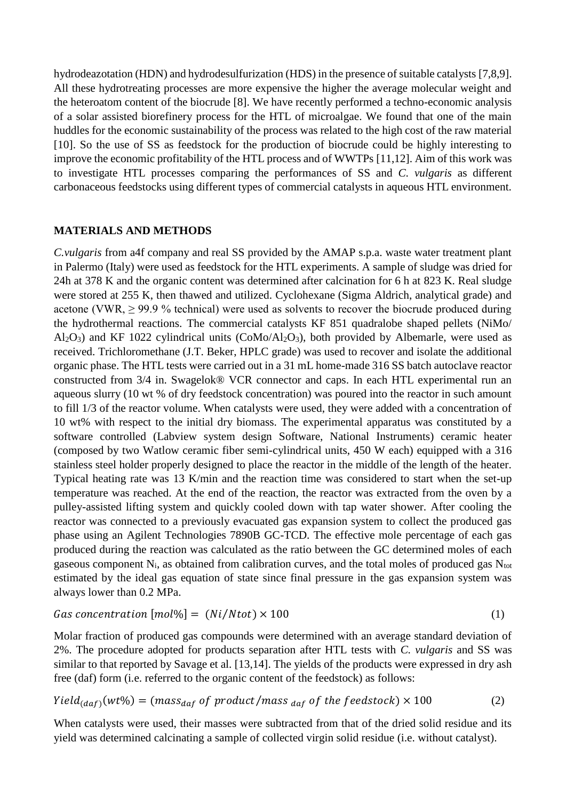hydrodeazotation (HDN) and hydrodesulfurization (HDS) in the presence of suitable catalysts [7,8,9]. All these hydrotreating processes are more expensive the higher the average molecular weight and the heteroatom content of the biocrude [8]. We have recently performed a techno-economic analysis of a solar assisted biorefinery process for the HTL of microalgae. We found that one of the main huddles for the economic sustainability of the process was related to the high cost of the raw material [10]. So the use of SS as feedstock for the production of biocrude could be highly interesting to improve the economic profitability of the HTL process and of WWTPs [11,12]. Aim of this work was to investigate HTL processes comparing the performances of SS and *C. vulgaris* as different carbonaceous feedstocks using different types of commercial catalysts in aqueous HTL environment.

## **MATERIALS AND METHODS**

*C.vulgaris* from a4f company and real SS provided by the AMAP s.p.a. waste water treatment plant in Palermo (Italy) were used as feedstock for the HTL experiments. A sample of sludge was dried for 24h at 378 K and the organic content was determined after calcination for 6 h at 823 K. Real sludge were stored at 255 K, then thawed and utilized. Cyclohexane (Sigma Aldrich, analytical grade) and acetone (VWR,  $\geq$  99.9 % technical) were used as solvents to recover the biocrude produced during the hydrothermal reactions. The commercial catalysts KF 851 quadralobe shaped pellets (NiMo/ Al<sub>2</sub>O<sub>3</sub>) and KF 1022 cylindrical units (CoMo/Al<sub>2</sub>O<sub>3</sub>), both provided by Albemarle, were used as received. Trichloromethane (J.T. Beker, HPLC grade) was used to recover and isolate the additional organic phase. The HTL tests were carried out in a 31 mL home-made 316 SS batch autoclave reactor constructed from 3/4 in. Swagelok® VCR connector and caps. In each HTL experimental run an aqueous slurry (10 wt % of dry feedstock concentration) was poured into the reactor in such amount to fill 1/3 of the reactor volume. When catalysts were used, they were added with a concentration of 10 wt% with respect to the initial dry biomass. The experimental apparatus was constituted by a software controlled (Labview system design Software, National Instruments) ceramic heater (composed by two Watlow ceramic fiber semi-cylindrical units, 450 W each) equipped with a 316 stainless steel holder properly designed to place the reactor in the middle of the length of the heater. Typical heating rate was 13 K/min and the reaction time was considered to start when the set-up temperature was reached. At the end of the reaction, the reactor was extracted from the oven by a pulley-assisted lifting system and quickly cooled down with tap water shower. After cooling the reactor was connected to a previously evacuated gas expansion system to collect the produced gas phase using an Agilent Technologies 7890B GC-TCD. The effective mole percentage of each gas produced during the reaction was calculated as the ratio between the GC determined moles of each gaseous component  $N_i$ , as obtained from calibration curves, and the total moles of produced gas  $N_{\text{tot}}$ estimated by the ideal gas equation of state since final pressure in the gas expansion system was always lower than 0.2 MPa.

$$
Gas\ concentration\ [mol\%] = (Ni/Ntot) \times 100\tag{1}
$$

Molar fraction of produced gas compounds were determined with an average standard deviation of 2%. The procedure adopted for products separation after HTL tests with *C. vulgaris* and SS was similar to that reported by Savage et al. [13,14]. The yields of the products were expressed in dry ash free (daf) form (i.e. referred to the organic content of the feedstock) as follows:

$$
Yield_{(daf)}(wt\%) = (mass_{daf} of product/mass_{daf} of the feedback) \times 100
$$
 (2)

When catalysts were used, their masses were subtracted from that of the dried solid residue and its yield was determined calcinating a sample of collected virgin solid residue (i.e. without catalyst).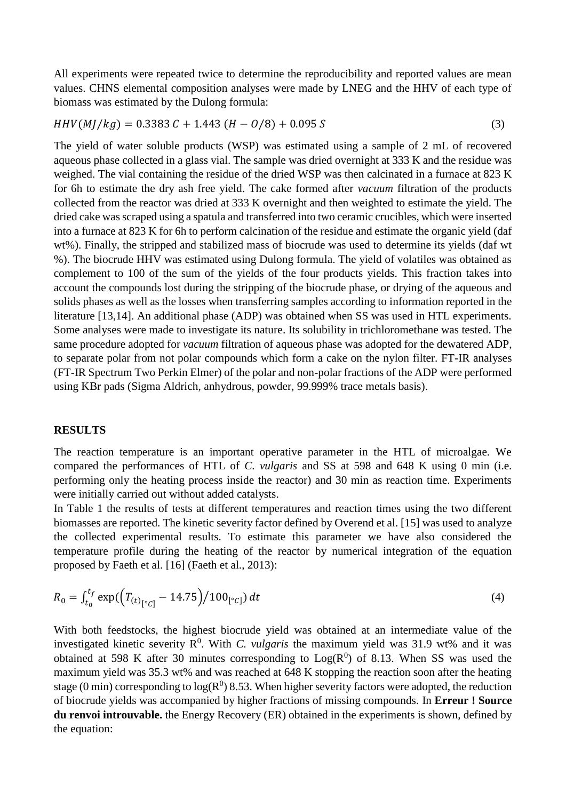All experiments were repeated twice to determine the reproducibility and reported values are mean values. CHNS elemental composition analyses were made by LNEG and the HHV of each type of biomass was estimated by the Dulong formula:

$$
HHV(MJ/kg) = 0.3383 C + 1.443 (H - 0/8) + 0.095 S
$$
\n(3)

The yield of water soluble products (WSP) was estimated using a sample of 2 mL of recovered aqueous phase collected in a glass vial. The sample was dried overnight at 333 K and the residue was weighed. The vial containing the residue of the dried WSP was then calcinated in a furnace at 823 K for 6h to estimate the dry ash free yield. The cake formed after *vacuum* filtration of the products collected from the reactor was dried at 333 K overnight and then weighted to estimate the yield. The dried cake was scraped using a spatula and transferred into two ceramic crucibles, which were inserted into a furnace at 823 K for 6h to perform calcination of the residue and estimate the organic yield (daf wt%). Finally, the stripped and stabilized mass of biocrude was used to determine its yields (daf wt %). The biocrude HHV was estimated using Dulong formula. The yield of volatiles was obtained as complement to 100 of the sum of the yields of the four products yields. This fraction takes into account the compounds lost during the stripping of the biocrude phase, or drying of the aqueous and solids phases as well as the losses when transferring samples according to information reported in the literature [13,14]. An additional phase (ADP) was obtained when SS was used in HTL experiments. Some analyses were made to investigate its nature. Its solubility in trichloromethane was tested. The same procedure adopted for *vacuum* filtration of aqueous phase was adopted for the dewatered ADP, to separate polar from not polar compounds which form a cake on the nylon filter. FT-IR analyses (FT-IR Spectrum Two Perkin Elmer) of the polar and non-polar fractions of the ADP were performed using KBr pads (Sigma Aldrich, anhydrous, powder, 99.999% trace metals basis).

## **RESULTS**

The reaction temperature is an important operative parameter in the HTL of microalgae. We compared the performances of HTL of *C. vulgaris* and SS at 598 and 648 K using 0 min (i.e. performing only the heating process inside the reactor) and 30 min as reaction time. Experiments were initially carried out without added catalysts.

In Table 1 the results of tests at different temperatures and reaction times using the two different biomasses are reported. The kinetic severity factor defined by Overend et al. [15] was used to analyze the collected experimental results. To estimate this parameter we have also considered the temperature profile during the heating of the reactor by numerical integration of the equation proposed by Faeth et al. [16] (Faeth et al., 2013):

$$
R_0 = \int_{t_0}^{t_f} \exp(\left(T_{(t)_{\left[\begin{array}{l}^{\circ}C\end{array}\right]}} - 14.75\right) / 100_{\left[\begin{array}{l}^{\circ}C\end{array}\right]}) dt \tag{4}
$$

With both feedstocks, the highest biocrude yield was obtained at an intermediate value of the investigated kinetic severity  $\mathbb{R}^0$ . With *C. vulgaris* the maximum yield was 31.9 wt% and it was obtained at 598 K after 30 minutes corresponding to  $Log(R^0)$  of 8.13. When SS was used the maximum yield was 35.3 wt% and was reached at 648 K stopping the reaction soon after the heating stage (0 min) corresponding to  $log(R^0)$  8.53. When higher severity factors were adopted, the reduction of biocrude yields was accompanied by higher fractions of missing compounds. In **Erreur ! Source du renvoi introuvable.** the Energy Recovery (ER) obtained in the experiments is shown, defined by the equation: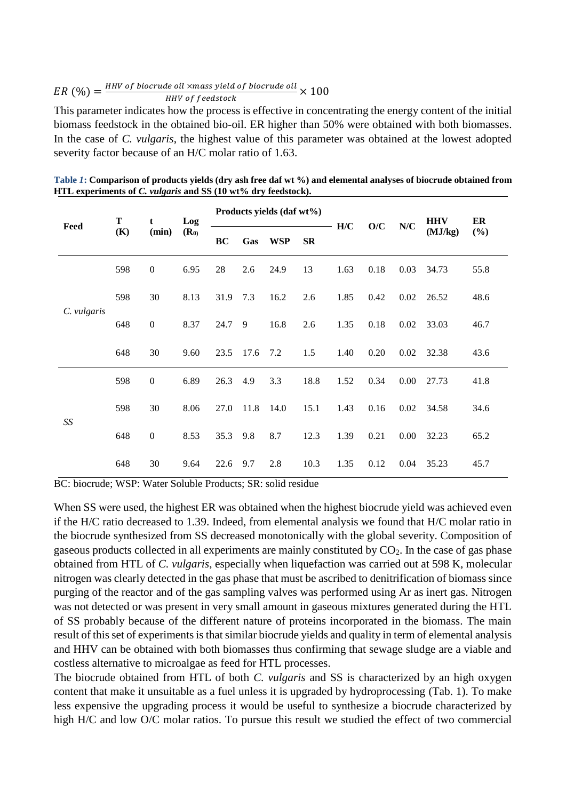$ER(%) = \frac{HHV \text{ of biorude oil xmass yield of biorude oil}}{HUV \text{ of 6 redated}}$  $\frac{1}{2}$  and  $\frac{1}{2}$  and  $\frac{1}{2}$  between  $\frac{1}{2}$  and  $\frac{1}{2}$   $\times$  100

This parameter indicates how the process is effective in concentrating the energy content of the initial biomass feedstock in the obtained bio-oil. ER higher than 50% were obtained with both biomasses. In the case of *C. vulgaris*, the highest value of this parameter was obtained at the lowest adopted severity factor because of an H/C molar ratio of 1.63.

| Feed        | Т<br>(K) | t<br>(min)       | Log<br>$(R_0)$ | Products yields (daf wt%) |      |            |           | H/C  | O/C  | $\mathbf{N}/\mathbf{C}$ | <b>HHV</b> | ER   |
|-------------|----------|------------------|----------------|---------------------------|------|------------|-----------|------|------|-------------------------|------------|------|
|             |          |                  |                | BC                        | Gas  | <b>WSP</b> | <b>SR</b> |      |      |                         | (MJ/kg)    | (%)  |
| C. vulgaris | 598      | $\boldsymbol{0}$ | 6.95           | 28                        | 2.6  | 24.9       | 13        | 1.63 | 0.18 | 0.03                    | 34.73      | 55.8 |
|             | 598      | 30               | 8.13           | 31.9                      | 7.3  | 16.2       | 2.6       | 1.85 | 0.42 | 0.02                    | 26.52      | 48.6 |
|             | 648      | $\boldsymbol{0}$ | 8.37           | 24.7                      | 9    | 16.8       | 2.6       | 1.35 | 0.18 | 0.02                    | 33.03      | 46.7 |
|             | 648      | 30               | 9.60           | 23.5                      | 17.6 | 7.2        | 1.5       | 1.40 | 0.20 | 0.02                    | 32.38      | 43.6 |
| SS          | 598      | $\boldsymbol{0}$ | 6.89           | 26.3                      | 4.9  | 3.3        | 18.8      | 1.52 | 0.34 | 0.00                    | 27.73      | 41.8 |
|             | 598      | 30               | 8.06           | 27.0                      | 11.8 | 14.0       | 15.1      | 1.43 | 0.16 | 0.02                    | 34.58      | 34.6 |
|             | 648      | $\boldsymbol{0}$ | 8.53           | 35.3                      | 9.8  | 8.7        | 12.3      | 1.39 | 0.21 | 0.00                    | 32.23      | 65.2 |
|             | 648      | 30               | 9.64           | 22.6                      | 9.7  | 2.8        | 10.3      | 1.35 | 0.12 | 0.04                    | 35.23      | 45.7 |

Table 1: Comparison of products yields (dry ash free daf wt %) and elemental analyses of biocrude obtained from **HTL experiments of** *C. vulgaris* **and SS (10 wt% dry feedstock).**

BC: biocrude; WSP: Water Soluble Products; SR: solid residue

When SS were used, the highest ER was obtained when the highest biocrude yield was achieved even if the H/C ratio decreased to 1.39. Indeed, from elemental analysis we found that H/C molar ratio in the biocrude synthesized from SS decreased monotonically with the global severity. Composition of gaseous products collected in all experiments are mainly constituted by CO2. In the case of gas phase obtained from HTL of *C. vulgaris*, especially when liquefaction was carried out at 598 K, molecular nitrogen was clearly detected in the gas phase that must be ascribed to denitrification of biomass since purging of the reactor and of the gas sampling valves was performed using Ar as inert gas. Nitrogen was not detected or was present in very small amount in gaseous mixtures generated during the HTL of SS probably because of the different nature of proteins incorporated in the biomass. The main result of this set of experiments is that similar biocrude yields and quality in term of elemental analysis and HHV can be obtained with both biomasses thus confirming that sewage sludge are a viable and costless alternative to microalgae as feed for HTL processes.

The biocrude obtained from HTL of both *C. vulgaris* and SS is characterized by an high oxygen content that make it unsuitable as a fuel unless it is upgraded by hydroprocessing (Tab. 1). To make less expensive the upgrading process it would be useful to synthesize a biocrude characterized by high H/C and low O/C molar ratios. To pursue this result we studied the effect of two commercial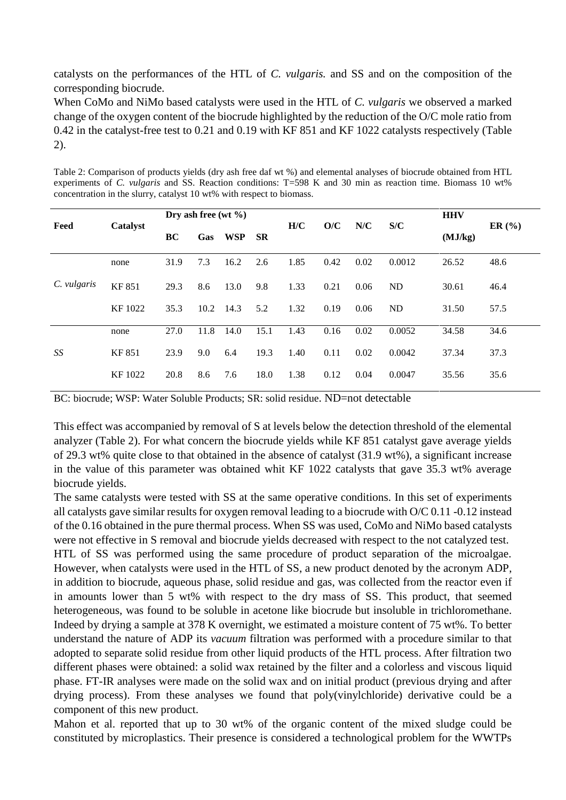catalysts on the performances of the HTL of *C. vulgaris.* and SS and on the composition of the corresponding biocrude.

When CoMo and NiMo based catalysts were used in the HTL of *C. vulgaris* we observed a marked change of the oxygen content of the biocrude highlighted by the reduction of the O/C mole ratio from 0.42 in the catalyst-free test to 0.21 and 0.19 with KF 851 and KF 1022 catalysts respectively (Table 2).

| Table 2: Comparison of products yields (dry ash free daf wt %) and elemental analyses of biocrude obtained from HTL |
|---------------------------------------------------------------------------------------------------------------------|
| experiments of C. vulgaris and SS. Reaction conditions: $T=598$ K and 30 min as reaction time. Biomass 10 wt%       |
| concentration in the slurry, catalyst 10 wt% with respect to biomass.                                               |

| Feed        | <b>Catalyst</b> | Dry ash free (wt $\%$ ) |      |            |           | H/C  | O/C  | N/C  | S/C    | <b>HHV</b> | ER(%) |
|-------------|-----------------|-------------------------|------|------------|-----------|------|------|------|--------|------------|-------|
|             |                 | BC                      | Gas  | <b>WSP</b> | <b>SR</b> |      |      |      |        | (MJ/kg)    |       |
| C. vulgaris | none            | 31.9                    | 7.3  | 16.2       | 2.6       | 1.85 | 0.42 | 0.02 | 0.0012 | 26.52      | 48.6  |
|             | <b>KF 851</b>   | 29.3                    | 8.6  | 13.0       | 9.8       | 1.33 | 0.21 | 0.06 | ND     | 30.61      | 46.4  |
|             | KF 1022         | 35.3                    | 10.2 | 14.3       | 5.2       | 1.32 | 0.19 | 0.06 | ND     | 31.50      | 57.5  |
| SS          | none            | 27.0                    | 11.8 | 14.0       | 15.1      | 1.43 | 0.16 | 0.02 | 0.0052 | 34.58      | 34.6  |
|             | <b>KF 851</b>   | 23.9                    | 9.0  | 6.4        | 19.3      | 1.40 | 0.11 | 0.02 | 0.0042 | 37.34      | 37.3  |
|             | KF 1022         | 20.8                    | 8.6  | 7.6        | 18.0      | 1.38 | 0.12 | 0.04 | 0.0047 | 35.56      | 35.6  |

BC: biocrude; WSP: Water Soluble Products; SR: solid residue. ND=not detectable

This effect was accompanied by removal of S at levels below the detection threshold of the elemental analyzer (Table 2). For what concern the biocrude yields while KF 851 catalyst gave average yields of 29.3 wt% quite close to that obtained in the absence of catalyst (31.9 wt%), a significant increase in the value of this parameter was obtained whit KF 1022 catalysts that gave 35.3 wt% average biocrude yields.

The same catalysts were tested with SS at the same operative conditions. In this set of experiments all catalysts gave similar results for oxygen removal leading to a biocrude with O/C 0.11 -0.12 instead of the 0.16 obtained in the pure thermal process. When SS was used, CoMo and NiMo based catalysts were not effective in S removal and biocrude yields decreased with respect to the not catalyzed test. HTL of SS was performed using the same procedure of product separation of the microalgae. However, when catalysts were used in the HTL of SS, a new product denoted by the acronym ADP, in addition to biocrude, aqueous phase, solid residue and gas, was collected from the reactor even if in amounts lower than 5 wt% with respect to the dry mass of SS. This product, that seemed heterogeneous, was found to be soluble in acetone like biocrude but insoluble in trichloromethane. Indeed by drying a sample at 378 K overnight, we estimated a moisture content of 75 wt%. To better understand the nature of ADP its *vacuum* filtration was performed with a procedure similar to that adopted to separate solid residue from other liquid products of the HTL process. After filtration two different phases were obtained: a solid wax retained by the filter and a colorless and viscous liquid phase. FT-IR analyses were made on the solid wax and on initial product (previous drying and after drying process). From these analyses we found that poly(vinylchloride) derivative could be a component of this new product.

Mahon et al. reported that up to 30 wt% of the organic content of the mixed sludge could be constituted by microplastics. Their presence is considered a technological problem for the WWTPs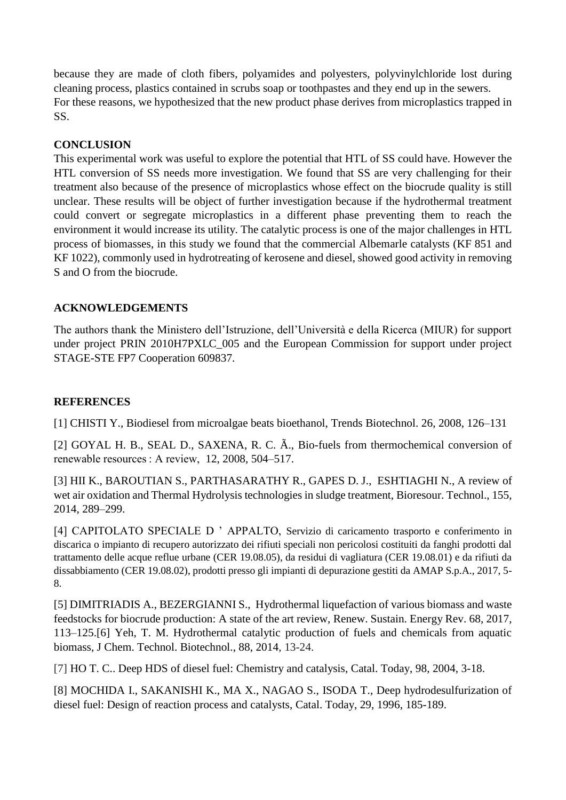because they are made of cloth fibers, polyamides and polyesters, polyvinylchloride lost during cleaning process, plastics contained in scrubs soap or toothpastes and they end up in the sewers. For these reasons, we hypothesized that the new product phase derives from microplastics trapped in SS.

# **CONCLUSION**

This experimental work was useful to explore the potential that HTL of SS could have. However the HTL conversion of SS needs more investigation. We found that SS are very challenging for their treatment also because of the presence of microplastics whose effect on the biocrude quality is still unclear. These results will be object of further investigation because if the hydrothermal treatment could convert or segregate microplastics in a different phase preventing them to reach the environment it would increase its utility. The catalytic process is one of the major challenges in HTL process of biomasses, in this study we found that the commercial Albemarle catalysts (KF 851 and KF 1022), commonly used in hydrotreating of kerosene and diesel, showed good activity in removing S and O from the biocrude.

# **ACKNOWLEDGEMENTS**

The authors thank the Ministero dell'Istruzione, dell'Università e della Ricerca (MIUR) for support under project PRIN 2010H7PXLC\_005 and the European Commission for support under project STAGE-STE FP7 Cooperation 609837.

## **REFERENCES**

[1] CHISTI Y., Biodiesel from microalgae beats bioethanol, Trends Biotechnol. 26, 2008, 126–131

[2] GOYAL H. B., SEAL D., SAXENA, R. C. Ã., Bio-fuels from thermochemical conversion of renewable resources : A review, 12, 2008, 504–517.

[3] HII K., BAROUTIAN S., PARTHASARATHY R., GAPES D. J., ESHTIAGHI N., A review of wet air oxidation and Thermal Hydrolysis technologies in sludge treatment, Bioresour. Technol., 155, 2014, 289–299.

[4] CAPITOLATO SPECIALE D ' APPALTO, Servizio di caricamento trasporto e conferimento in discarica o impianto di recupero autorizzato dei rifiuti speciali non pericolosi costituiti da fanghi prodotti dal trattamento delle acque reflue urbane (CER 19.08.05), da residui di vagliatura (CER 19.08.01) e da rifiuti da dissabbiamento (CER 19.08.02), prodotti presso gli impianti di depurazione gestiti da AMAP S.p.A., 2017, 5- 8.

[5] DIMITRIADIS A., BEZERGIANNI S., Hydrothermal liquefaction of various biomass and waste feedstocks for biocrude production: A state of the art review, Renew. Sustain. Energy Rev. 68, 2017, 113–125.[6] Yeh, T. M. Hydrothermal catalytic production of fuels and chemicals from aquatic biomass, J Chem. Technol. Biotechnol., 88, 2014, 13-24.

[7] HO T. C.. Deep HDS of diesel fuel: Chemistry and catalysis, Catal. Today, 98, 2004, 3-18.

[8] MOCHIDA I., SAKANISHI K., MA X., NAGAO S., ISODA T., Deep hydrodesulfurization of diesel fuel: Design of reaction process and catalysts, Catal. Today, 29, 1996, 185-189.